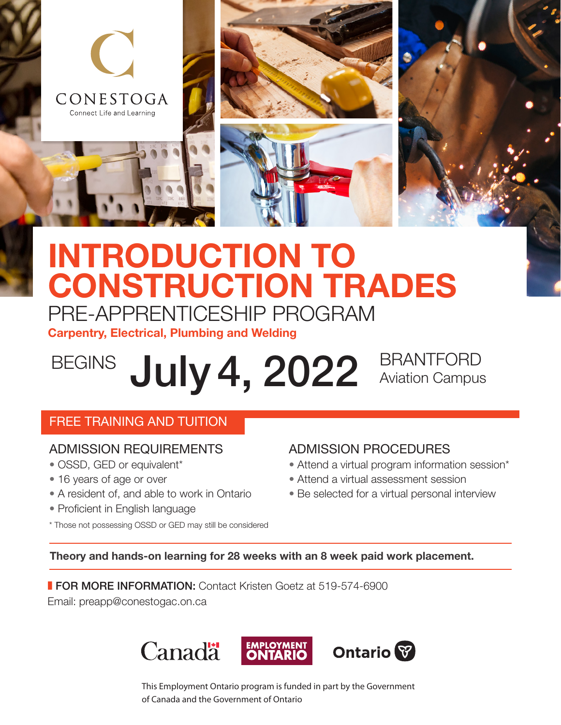

## INTRODUCTION TO CONSTRUCTION TRADES PRE-APPRENTICESHIP PROGRAM

Carpentry, Electrical, Plumbing and Welding

# BEGINS July 4, 2022 BRANTFORD

Aviation Campus

#### FREE TRAINING AND TUITION

#### ADMISSION REQUIREMENTS

- OSSD, GED or equivalent\*
- 16 years of age or over
- A resident of, and able to work in Ontario

\* Those not possessing OSSD or GED may still be considered

• Proficient in English language

#### ADMISSION PROCEDURES • Attend a virtual program information session\*

- Attend a virtual assessment session
- Be selected for a virtual personal interview
- 

Theory and hands-on learning for 28 weeks with an 8 week paid work placement.

**FOR MORE INFORMATION:** Contact Kristen Goetz at 519-574-6900

Email: [preapp@conestogac.on.ca](mailto:preapp%40conestogac.on.ca?subject=)



This Employment Ontario program is funded in part by the Government of Canada and the Government of Ontario